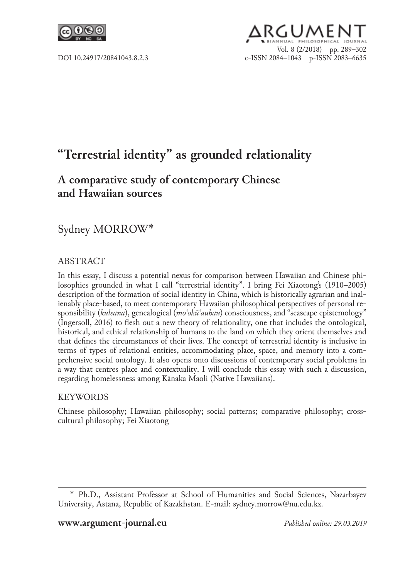

# RGUMEN Vol. 8 (2/2018) pp. 289–302 DOI 10.24917/20841043.8.2.3 e‑ISSN 2084–1043 p-ISSN 2083–6635

# **"Terrestrial identity" as grounded relationality**

# **A comparative study of contemporary Chinese and Hawaiian sources**

# Sydney MORROW\*

## ABSTRACT

In this essay, I discuss a potential nexus for comparison between Hawaiian and Chinese philosophies grounded in what I call "terrestrial identity". I bring Fei Xiaotong's (1910–2005) description of the formation of social identity in China, which is historically agrarian and inalienably place-based, to meet contemporary Hawaiian philosophical perspectives of personal responsibility (*kuleana*), genealogical (*moʻokūʻauhau*) consciousness, and "seascape epistemology" (Ingersoll, 2016) to flesh out a new theory of relationality, one that includes the ontological, historical, and ethical relationship of humans to the land on which they orient themselves and that defines the circumstances of their lives. The concept of terrestrial identity is inclusive in terms of types of relational entities, accommodating place, space, and memory into a comprehensive social ontology. It also opens onto discussions of contemporary social problems in a way that centres place and contextuality. I will conclude this essay with such a discussion, regarding homelessness among Kānaka Maoli (Native Hawaiians).

#### **KEYWORDS**

Chinese philosophy; Hawaiian philosophy; social patterns; comparative philosophy; crosscultural philosophy; Fei Xiaotong

<sup>\*</sup>  Ph.D., Assistant Professor at School of Humanities and Social Sciences, Nazarbayev University, Astana, Republic of Kazakhstan. E-mail: sydney.morrow@nu.edu.kz.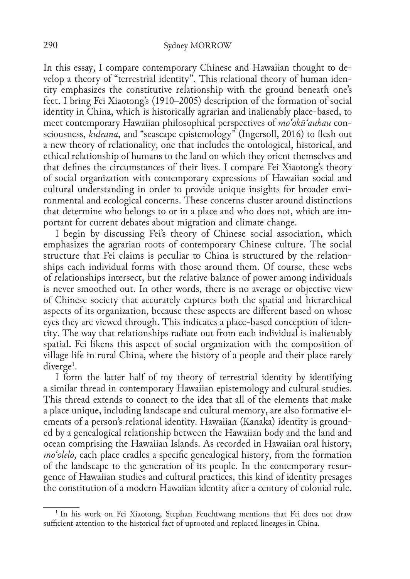In this essay, I compare contemporary Chinese and Hawaiian thought to develop a theory of "terrestrial identity". This relational theory of human identity emphasizes the constitutive relationship with the ground beneath one's feet. I bring Fei Xiaotong's (1910–2005) description of the formation of social identity in China, which is historically agrarian and inalienably place-based, to meet contemporary Hawaiian philosophical perspectives of *moʻokūʻauhau* consciousness, *kuleana*, and "seascape epistemology" (Ingersoll, 2016) to flesh out a new theory of relationality, one that includes the ontological, historical, and ethical relationship of humans to the land on which they orient themselves and that defines the circumstances of their lives. I compare Fei Xiaotong's theory of social organization with contemporary expressions of Hawaiian social and cultural understanding in order to provide unique insights for broader environmental and ecological concerns. These concerns cluster around distinctions that determine who belongs to or in a place and who does not, which are important for current debates about migration and climate change.

I begin by discussing Fei's theory of Chinese social association, which emphasizes the agrarian roots of contemporary Chinese culture. The social structure that Fei claims is peculiar to China is structured by the relationships each individual forms with those around them. Of course, these webs of relationships intersect, but the relative balance of power among individuals is never smoothed out. In other words, there is no average or objective view of Chinese society that accurately captures both the spatial and hierarchical aspects of its organization, because these aspects are different based on whose eyes they are viewed through. This indicates a place-based conception of identity. The way that relationships radiate out from each individual is inalienably spatial. Fei likens this aspect of social organization with the composition of village life in rural China, where the history of a people and their place rarely  $\operatorname{diverg} \mathrm{e}^{\scriptscriptstyle 1}$ .

I form the latter half of my theory of terrestrial identity by identifying a similar thread in contemporary Hawaiian epistemology and cultural studies. This thread extends to connect to the idea that all of the elements that make a place unique, including landscape and cultural memory, are also formative elements of a person's relational identity. Hawaiian (Kanaka) identity is grounded by a genealogical relationship between the Hawaiian body and the land and ocean comprising the Hawaiian Islands. As recorded in Hawaiian oral history, *moʻolelo*, each place cradles a specific genealogical history, from the formation of the landscape to the generation of its people. In the contemporary resurgence of Hawaiian studies and cultural practices, this kind of identity presages the constitution of a modern Hawaiian identity after a century of colonial rule.

<sup>1</sup> In his work on Fei Xiaotong, Stephan Feuchtwang mentions that Fei does not draw sufficient attention to the historical fact of uprooted and replaced lineages in China.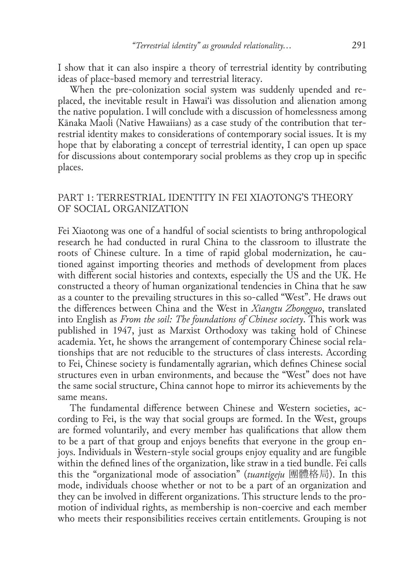I show that it can also inspire a theory of terrestrial identity by contributing ideas of place-based memory and terrestrial literacy.

When the pre-colonization social system was suddenly upended and replaced, the inevitable result in Hawaiʻi was dissolution and alienation among the native population. I will conclude with a discussion of homelessness among Kānaka Maoli (Native Hawaiians) as a case study of the contribution that terrestrial identity makes to considerations of contemporary social issues. It is my hope that by elaborating a concept of terrestrial identity, I can open up space for discussions about contemporary social problems as they crop up in specific places.

# Part 1: Terrestrial identity in Fei Xiaotong's theory of social organization

Fei Xiaotong was one of a handful of social scientists to bring anthropological research he had conducted in rural China to the classroom to illustrate the roots of Chinese culture. In a time of rapid global modernization, he cautioned against importing theories and methods of development from places with different social histories and contexts, especially the US and the UK. He constructed a theory of human organizational tendencies in China that he saw as a counter to the prevailing structures in this so-called "West". He draws out the differences between China and the West in *Xiangtu Zhongguo*, translated into English as *From the soil: The foundations of Chinese society*. This work was published in 1947, just as Marxist Orthodoxy was taking hold of Chinese academia. Yet, he shows the arrangement of contemporary Chinese social relationships that are not reducible to the structures of class interests. According to Fei, Chinese society is fundamentally agrarian, which defines Chinese social structures even in urban environments, and because the "West" does not have the same social structure, China cannot hope to mirror its achievements by the same means.

The fundamental difference between Chinese and Western societies, according to Fei, is the way that social groups are formed. In the West, groups are formed voluntarily, and every member has qualifications that allow them to be a part of that group and enjoys benefits that everyone in the group enjoys. Individuals in Western-style social groups enjoy equality and are fungible within the defined lines of the organization, like straw in a tied bundle. Fei calls this the "organizational mode of association" (*tuantigeju* 團體格局). In this mode, individuals choose whether or not to be a part of an organization and they can be involved in different organizations. This structure lends to the promotion of individual rights, as membership is non-coercive and each member who meets their responsibilities receives certain entitlements. Grouping is not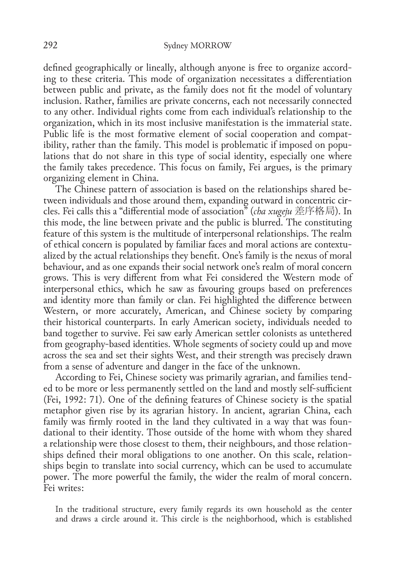defined geographically or lineally, although anyone is free to organize according to these criteria. This mode of organization necessitates a differentiation between public and private, as the family does not fit the model of voluntary inclusion. Rather, families are private concerns, each not necessarily connected to any other. Individual rights come from each individual's relationship to the organization, which in its most inclusive manifestation is the immaterial state. Public life is the most formative element of social cooperation and compatibility, rather than the family. This model is problematic if imposed on populations that do not share in this type of social identity, especially one where the family takes precedence. This focus on family, Fei argues, is the primary organizing element in China.

The Chinese pattern of association is based on the relationships shared between individuals and those around them, expanding outward in concentric circles. Fei calls this a "differential mode of association" (*cha xugeju* 差序格局). In this mode, the line between private and the public is blurred. The constituting feature of this system is the multitude of interpersonal relationships. The realm of ethical concern is populated by familiar faces and moral actions are contextualized by the actual relationships they benefit. One's family is the nexus of moral behaviour, and as one expands their social network one's realm of moral concern grows. This is very different from what Fei considered the Western mode of interpersonal ethics, which he saw as favouring groups based on preferences and identity more than family or clan. Fei highlighted the difference between Western, or more accurately, American, and Chinese society by comparing their historical counterparts. In early American society, individuals needed to band together to survive. Fei saw early American settler colonists as untethered from geography-based identities. Whole segments of society could up and move across the sea and set their sights West, and their strength was precisely drawn from a sense of adventure and danger in the face of the unknown.

According to Fei, Chinese society was primarily agrarian, and families tended to be more or less permanently settled on the land and mostly self-sufficient (Fei, 1992: 71). One of the defining features of Chinese society is the spatial metaphor given rise by its agrarian history. In ancient, agrarian China, each family was firmly rooted in the land they cultivated in a way that was foundational to their identity. Those outside of the home with whom they shared a relationship were those closest to them, their neighbours, and those relationships defined their moral obligations to one another. On this scale, relationships begin to translate into social currency, which can be used to accumulate power. The more powerful the family, the wider the realm of moral concern. Fei writes:

In the traditional structure, every family regards its own household as the center and draws a circle around it. This circle is the neighborhood, which is established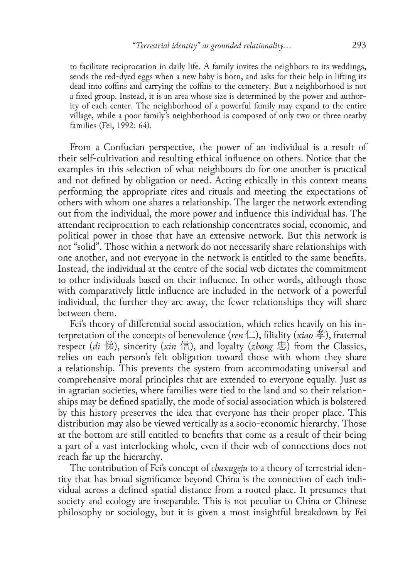to facilitate reciprocation in daily life. A family invites the neighbors to its weddings, sends the red-dyed eggs when a new baby is born, and asks for their help in lifting its dead into coffins and carrying the coffins to the cemetery. But a neighborhood is not a fixed group. Instead, it is an area whose size is determined by the power and authority of each center. The neighborhood of a powerful family may expand to the entire village, while a poor family's neighborhood is composed of only two or three nearby families (Fei, 1992: 64).

From a Confucian perspective, the power of an individual is a result of their self-cultivation and resulting ethical influence on others. Notice that the examples in this selection of what neighbours do for one another is practical and not defined by obligation or need. Acting ethically in this context means performing the appropriate rites and rituals and meeting the expectations of others with whom one shares a relationship. The larger the network extending out from the individual, the more power and influence this individual has. The attendant reciprocation to each relationship concentrates social, economic, and political power in those that have an extensive network. But this network is not "solid". Those within a network do not necessarily share relationships with one another, and not everyone in the network is entitled to the same benefits. Instead, the individual at the centre of the social web dictates the commitment to other individuals based on their influence. In other words, although those with comparatively little influence are included in the network of a powerful individual, the further they are away, the fewer relationships they will share between them.

Fei's theory of differential social association, which relies heavily on his interpretation of the concepts of benevolence (*ren* 仁), filiality (*xiao* 孝), fraternal respect (*di* 悌), sincerity (*xin* 信), and loyalty (*zhong* 忠) from the Classics, relies on each person's felt obligation toward those with whom they share a relationship. This prevents the system from accommodating universal and comprehensive moral principles that are extended to everyone equally. Just as in agrarian societies, where families were tied to the land and so their relationships may be defined spatially, the mode of social association which is bolstered by this history preserves the idea that everyone has their proper place. This distribution may also be viewed vertically as a socio-economic hierarchy. Those at the bottom are still entitled to benefits that come as a result of their being a part of a vast interlocking whole, even if their web of connections does not reach far up the hierarchy.

The contribution of Fei's concept of *chaxugeju* to a theory of terrestrial identity that has broad significance beyond China is the connection of each individual across a defined spatial distance from a rooted place. It presumes that society and ecology are inseparable. This is not peculiar to China or Chinese philosophy or sociology, but it is given a most insightful breakdown by Fei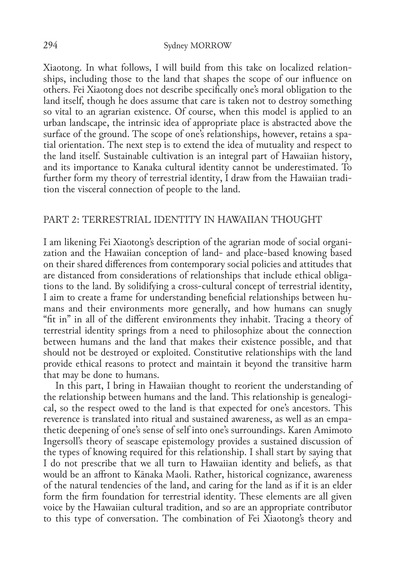#### 294 Sydney MORROW

Xiaotong. In what follows, I will build from this take on localized relationships, including those to the land that shapes the scope of our influence on others. Fei Xiaotong does not describe specifically one's moral obligation to the land itself, though he does assume that care is taken not to destroy something so vital to an agrarian existence. Of course, when this model is applied to an urban landscape, the intrinsic idea of appropriate place is abstracted above the surface of the ground. The scope of one's relationships, however, retains a spatial orientation. The next step is to extend the idea of mutuality and respect to the land itself. Sustainable cultivation is an integral part of Hawaiian history, and its importance to Kanaka cultural identity cannot be underestimated. To further form my theory of terrestrial identity, I draw from the Hawaiian tradition the visceral connection of people to the land.

# Part 2: Terrestrial identity in Hawaiian thought

I am likening Fei Xiaotong's description of the agrarian mode of social organization and the Hawaiian conception of land- and place-based knowing based on their shared differences from contemporary social policies and attitudes that are distanced from considerations of relationships that include ethical obligations to the land. By solidifying a cross-cultural concept of terrestrial identity, I aim to create a frame for understanding beneficial relationships between humans and their environments more generally, and how humans can snugly "fit in" in all of the different environments they inhabit. Tracing a theory of terrestrial identity springs from a need to philosophize about the connection between humans and the land that makes their existence possible, and that should not be destroyed or exploited. Constitutive relationships with the land provide ethical reasons to protect and maintain it beyond the transitive harm that may be done to humans.

In this part, I bring in Hawaiian thought to reorient the understanding of the relationship between humans and the land. This relationship is genealogical, so the respect owed to the land is that expected for one's ancestors. This reverence is translated into ritual and sustained awareness, as well as an empathetic deepening of one's sense of self into one's surroundings. Karen Amimoto Ingersoll's theory of seascape epistemology provides a sustained discussion of the types of knowing required for this relationship. I shall start by saying that I do not prescribe that we all turn to Hawaiian identity and beliefs, as that would be an affront to Kānaka Maoli. Rather, historical cognizance, awareness of the natural tendencies of the land, and caring for the land as if it is an elder form the firm foundation for terrestrial identity. These elements are all given voice by the Hawaiian cultural tradition, and so are an appropriate contributor to this type of conversation. The combination of Fei Xiaotong's theory and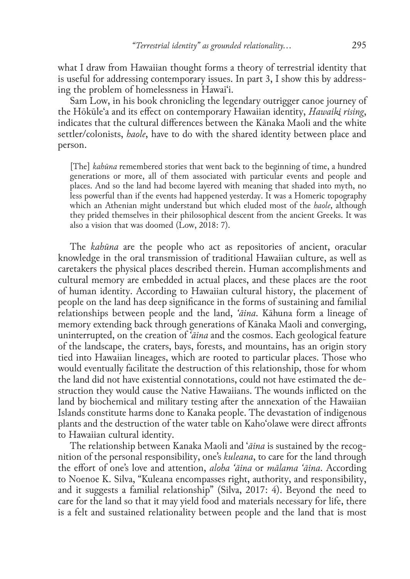what I draw from Hawaiian thought forms a theory of terrestrial identity that is useful for addressing contemporary issues. In part 3, I show this by addressing the problem of homelessness in Hawaiʻi.

Sam Low, in his book chronicling the legendary outrigger canoe journey of the Hōkūleʻa and its effect on contemporary Hawaiian identity, *Hawaiki rising*, indicates that the cultural differences between the Kānaka Maoli and the white settler/colonists, *haole*, have to do with the shared identity between place and person.

[The] *kahūna* remembered stories that went back to the beginning of time, a hundred generations or more, all of them associated with particular events and people and places. And so the land had become layered with meaning that shaded into myth, no less powerful than if the events had happened yesterday. It was a Homeric topography which an Athenian might understand but which eluded most of the *haole*, although they prided themselves in their philosophical descent from the ancient Greeks. It was also a vision that was doomed (Low, 2018: 7).

The *kahūna* are the people who act as repositories of ancient, oracular knowledge in the oral transmission of traditional Hawaiian culture, as well as caretakers the physical places described therein. Human accomplishments and cultural memory are embedded in actual places, and these places are the root of human identity. According to Hawaiian cultural history, the placement of people on the land has deep significance in the forms of sustaining and familial relationships between people and the land, *ʻāina*. Kāhuna form a lineage of memory extending back through generations of Kānaka Maoli and converging, uninterrupted, on the creation of *ʻāina* and the cosmos. Each geological feature of the landscape, the craters, bays, forests, and mountains, has an origin story tied into Hawaiian lineages, which are rooted to particular places. Those who would eventually facilitate the destruction of this relationship, those for whom the land did not have existential connotations, could not have estimated the destruction they would cause the Native Hawaiians. The wounds inflicted on the land by biochemical and military testing after the annexation of the Hawaiian Islands constitute harms done to Kanaka people. The devastation of indigenous plants and the destruction of the water table on Kahoʻolawe were direct affronts to Hawaiian cultural identity.

The relationship between Kanaka Maoli and ʻ*āina* is sustained by the recognition of the personal responsibility, one's *kuleana*, to care for the land through the effort of one's love and attention, *aloha 'āina* or *mālama ʻāina*. According to Noenoe K. Silva, "Kuleana encompasses right, authority, and responsibility, and it suggests a familial relationship" (Silva, 2017: 4). Beyond the need to care for the land so that it may yield food and materials necessary for life, there is a felt and sustained relationality between people and the land that is most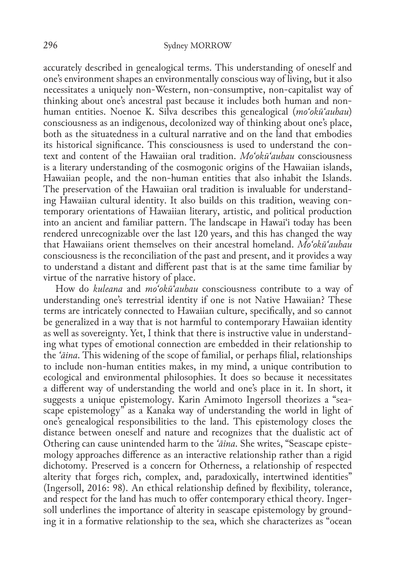accurately described in genealogical terms. This understanding of oneself and one's environment shapes an environmentally conscious way of living, but it also necessitates a uniquely non-Western, non-consumptive, non-capitalist way of thinking about one's ancestral past because it includes both human and nonhuman entities. Noenoe K. Silva describes this genealogical (*moʻokūʻauhau*) consciousness as an indigenous, decolonized way of thinking about one's place, both as the situatedness in a cultural narrative and on the land that embodies its historical significance. This consciousness is used to understand the context and content of the Hawaiian oral tradition. *Moʻokūʻauhau* consciousness is a literary understanding of the cosmogonic origins of the Hawaiian islands, Hawaiian people, and the non-human entities that also inhabit the Islands. The preservation of the Hawaiian oral tradition is invaluable for understanding Hawaiian cultural identity. It also builds on this tradition, weaving contemporary orientations of Hawaiian literary, artistic, and political production into an ancient and familiar pattern. The landscape in Hawaiʻi today has been rendered unrecognizable over the last 120 years, and this has changed the way that Hawaiians orient themselves on their ancestral homeland. *Moʻokūʻauhau* consciousness is the reconciliation of the past and present, and it provides a way to understand a distant and different past that is at the same time familiar by virtue of the narrative history of place.

How do *kuleana* and *moʻokūʻauhau* consciousness contribute to a way of understanding one's terrestrial identity if one is not Native Hawaiian? These terms are intricately connected to Hawaiian culture, specifically, and so cannot be generalized in a way that is not harmful to contemporary Hawaiian identity as well as sovereignty. Yet, I think that there is instructive value in understanding what types of emotional connection are embedded in their relationship to the *ʻāina*. This widening of the scope of familial, or perhaps filial, relationships to include non-human entities makes, in my mind, a unique contribution to ecological and environmental philosophies. It does so because it necessitates a different way of understanding the world and one's place in it. In short, it suggests a unique epistemology. Karin Amimoto Ingersoll theorizes a "seascape epistemology" as a Kanaka way of understanding the world in light of one's genealogical responsibilities to the land. This epistemology closes the distance between oneself and nature and recognizes that the dualistic act of Othering can cause unintended harm to the *ʻāina*. She writes, "Seascape epistemology approaches difference as an interactive relationship rather than a rigid dichotomy. Preserved is a concern for Otherness, a relationship of respected alterity that forges rich, complex, and, paradoxically, intertwined identities" (Ingersoll, 2016: 98). An ethical relationship defined by flexibility, tolerance, and respect for the land has much to offer contemporary ethical theory. Ingersoll underlines the importance of alterity in seascape epistemology by grounding it in a formative relationship to the sea, which she characterizes as "ocean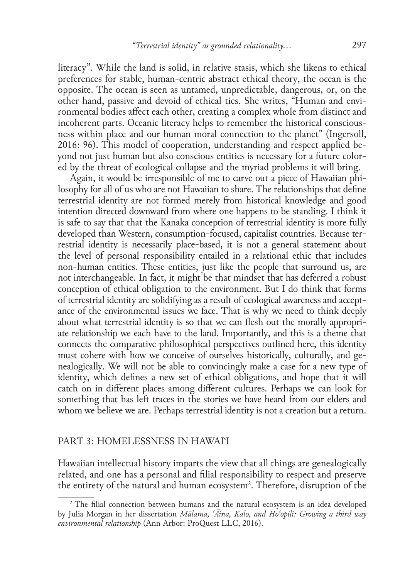literacy". While the land is solid, in relative stasis, which she likens to ethical preferences for stable, human-centric abstract ethical theory, the ocean is the opposite. The ocean is seen as untamed, unpredictable, dangerous, or, on the other hand, passive and devoid of ethical ties. She writes, "Human and environmental bodies affect each other, creating a complex whole from distinct and incoherent parts. Oceanic literacy helps to remember the historical consciousness within place and our human moral connection to the planet" (Ingersoll, 2016: 96). This model of cooperation, understanding and respect applied beyond not just human but also conscious entities is necessary for a future colored by the threat of ecological collapse and the myriad problems it will bring.

Again, it would be irresponsible of me to carve out a piece of Hawaiian philosophy for all of us who are not Hawaiian to share. The relationships that define terrestrial identity are not formed merely from historical knowledge and good intention directed downward from where one happens to be standing. I think it is safe to say that that the Kanaka conception of terrestrial identity is more fully developed than Western, consumption-focused, capitalist countries. Because terrestrial identity is necessarily place-based, it is not a general statement about the level of personal responsibility entailed in a relational ethic that includes non-human entities. These entities, just like the people that surround us, are not interchangeable. In fact, it might be that mindset that has deferred a robust conception of ethical obligation to the environment. But I do think that forms of terrestrial identity are solidifying as a result of ecological awareness and acceptance of the environmental issues we face. That is why we need to think deeply about what terrestrial identity is so that we can flesh out the morally appropriate relationship we each have to the land. Importantly, and this is a theme that connects the comparative philosophical perspectives outlined here, this identity must cohere with how we conceive of ourselves historically, culturally, and genealogically. We will not be able to convincingly make a case for a new type of identity, which defines a new set of ethical obligations, and hope that it will catch on in different places among different cultures. Perhaps we can look for something that has left traces in the stories we have heard from our elders and whom we believe we are. Perhaps terrestrial identity is not a creation but a return.

## Part 3: Homelessness in Hawaiʻi

Hawaiian intellectual history imparts the view that all things are genealogically related, and one has a personal and filial responsibility to respect and preserve the entirety of the natural and human ecosystem<sup>2</sup>. Therefore, disruption of the

<sup>&</sup>lt;sup>2</sup> The filial connection between humans and the natural ecosystem is an idea developed by Julia Morgan in her dissertation *Mālama, ʻĀina, Kalo, and Hoʻopili: Growing a third way environmental relationship* (Ann Arbor: ProQuest LLC, 2016).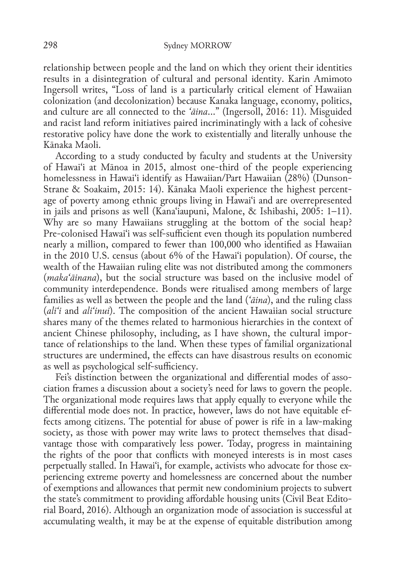relationship between people and the land on which they orient their identities results in a disintegration of cultural and personal identity. Karin Amimoto Ingersoll writes, "Loss of land is a particularly critical element of Hawaiian colonization (and decolonization) because Kanaka language, economy, politics, and culture are all connected to the *ʻāina*…" (Ingersoll, 2016: 11). Misguided and racist land reform initiatives paired incriminatingly with a lack of cohesive restorative policy have done the work to existentially and literally unhouse the Kānaka Maoli.

According to a study conducted by faculty and students at the University of Hawaiʻi at Mānoa in 2015, almost one-third of the people experiencing homelessness in Hawaiʻi identify as Hawaiian/Part Hawaiian (28%) (Dunson-Strane & Soakaim, 2015: 14). Kānaka Maoli experience the highest percentage of poverty among ethnic groups living in Hawaiʻi and are overrepresented in jails and prisons as well (Kanaʻiaupuni, Malone, & Ishibashi, 2005: 1–11). Why are so many Hawaiians struggling at the bottom of the social heap? Pre-colonised Hawaiʻi was self-sufficient even though its population numbered nearly a million, compared to fewer than 100,000 who identified as Hawaiian in the 2010 U.S. census (about 6% of the Hawaiʻi population). Of course, the wealth of the Hawaiian ruling elite was not distributed among the commoners (*makaʻāinana*), but the social structure was based on the inclusive model of community interdependence. Bonds were ritualised among members of large families as well as between the people and the land (*ʻāina*), and the ruling class (*aliʻi* and *aliʻinui*). The composition of the ancient Hawaiian social structure shares many of the themes related to harmonious hierarchies in the context of ancient Chinese philosophy, including, as I have shown, the cultural importance of relationships to the land. When these types of familial organizational structures are undermined, the effects can have disastrous results on economic as well as psychological self-sufficiency.

Fei's distinction between the organizational and differential modes of association frames a discussion about a society's need for laws to govern the people. The organizational mode requires laws that apply equally to everyone while the differential mode does not. In practice, however, laws do not have equitable effects among citizens. The potential for abuse of power is rife in a law-making society, as those with power may write laws to protect themselves that disadvantage those with comparatively less power. Today, progress in maintaining the rights of the poor that conflicts with moneyed interests is in most cases perpetually stalled. In Hawaiʻi, for example, activists who advocate for those experiencing extreme poverty and homelessness are concerned about the number of exemptions and allowances that permit new condominium projects to subvert the state's commitment to providing affordable housing units (Civil Beat Editorial Board, 2016). Although an organization mode of association is successful at accumulating wealth, it may be at the expense of equitable distribution among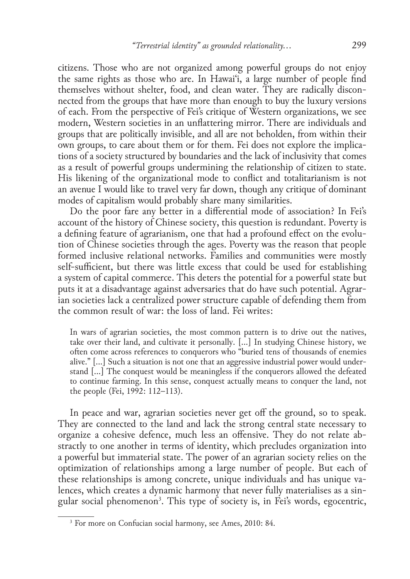citizens. Those who are not organized among powerful groups do not enjoy the same rights as those who are. In Hawaiʻi, a large number of people find themselves without shelter, food, and clean water. They are radically disconnected from the groups that have more than enough to buy the luxury versions of each. From the perspective of Fei's critique of Western organizations, we see modern, Western societies in an unflattering mirror. There are individuals and groups that are politically invisible, and all are not beholden, from within their own groups, to care about them or for them. Fei does not explore the implications of a society structured by boundaries and the lack of inclusivity that comes as a result of powerful groups undermining the relationship of citizen to state. His likening of the organizational mode to conflict and totalitarianism is not an avenue I would like to travel very far down, though any critique of dominant modes of capitalism would probably share many similarities.

Do the poor fare any better in a differential mode of association? In Fei's account of the history of Chinese society, this question is redundant. Poverty is a defining feature of agrarianism, one that had a profound effect on the evolution of Chinese societies through the ages. Poverty was the reason that people formed inclusive relational networks. Families and communities were mostly self-sufficient, but there was little excess that could be used for establishing a system of capital commerce. This deters the potential for a powerful state but puts it at a disadvantage against adversaries that do have such potential. Agrarian societies lack a centralized power structure capable of defending them from the common result of war: the loss of land. Fei writes:

In wars of agrarian societies, the most common pattern is to drive out the natives, take over their land, and cultivate it personally. […] In studying Chinese history, we often come across references to conquerors who "buried tens of thousands of enemies alive." […] Such a situation is not one that an aggressive industrial power would understand […] The conquest would be meaningless if the conquerors allowed the defeated to continue farming. In this sense, conquest actually means to conquer the land, not the people (Fei, 1992: 112–113).

In peace and war, agrarian societies never get off the ground, so to speak. They are connected to the land and lack the strong central state necessary to organize a cohesive defence, much less an offensive. They do not relate abstractly to one another in terms of identity, which precludes organization into a powerful but immaterial state. The power of an agrarian society relies on the optimization of relationships among a large number of people. But each of these relationships is among concrete, unique individuals and has unique valences, which creates a dynamic harmony that never fully materialises as a singular social phenomenon<sup>3</sup>. This type of society is, in Fei's words, egocentric,

<sup>3</sup> For more on Confucian social harmony, see Ames, 2010: 84.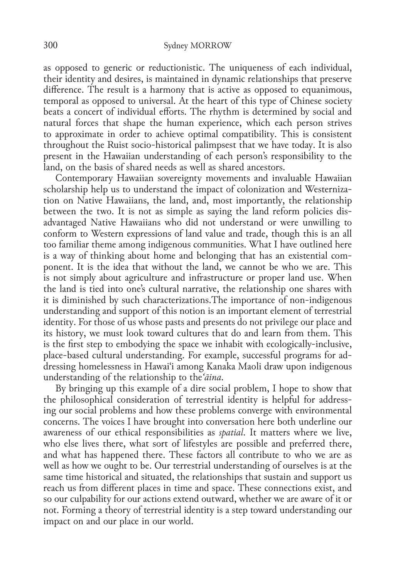as opposed to generic or reductionistic. The uniqueness of each individual, their identity and desires, is maintained in dynamic relationships that preserve difference. The result is a harmony that is active as opposed to equanimous, temporal as opposed to universal. At the heart of this type of Chinese society beats a concert of individual efforts. The rhythm is determined by social and natural forces that shape the human experience, which each person strives to approximate in order to achieve optimal compatibility. This is consistent throughout the Ruist socio-historical palimpsest that we have today. It is also present in the Hawaiian understanding of each person's responsibility to the land, on the basis of shared needs as well as shared ancestors.

Contemporary Hawaiian sovereignty movements and invaluable Hawaiian scholarship help us to understand the impact of colonization and Westernization on Native Hawaiians, the land, and, most importantly, the relationship between the two. It is not as simple as saying the land reform policies disadvantaged Native Hawaiians who did not understand or were unwilling to conform to Western expressions of land value and trade, though this is an all too familiar theme among indigenous communities. What I have outlined here is a way of thinking about home and belonging that has an existential component. It is the idea that without the land, we cannot be who we are. This is not simply about agriculture and infrastructure or proper land use. When the land is tied into one's cultural narrative, the relationship one shares with it is diminished by such characterizations.The importance of non-indigenous understanding and support of this notion is an important element of terrestrial identity. For those of us whose pasts and presents do not privilege our place and its history, we must look toward cultures that do and learn from them. This is the first step to embodying the space we inhabit with ecologically-inclusive, place-based cultural understanding. For example, successful programs for addressing homelessness in Hawaiʻi among Kanaka Maoli draw upon indigenous understanding of the relationship to the*ʻāina*.

By bringing up this example of a dire social problem, I hope to show that the philosophical consideration of terrestrial identity is helpful for addressing our social problems and how these problems converge with environmental concerns. The voices I have brought into conversation here both underline our awareness of our ethical responsibilities as *spatial*. It matters where we live, who else lives there, what sort of lifestyles are possible and preferred there, and what has happened there. These factors all contribute to who we are as well as how we ought to be. Our terrestrial understanding of ourselves is at the same time historical and situated, the relationships that sustain and support us reach us from different places in time and space. These connections exist, and so our culpability for our actions extend outward, whether we are aware of it or not. Forming a theory of terrestrial identity is a step toward understanding our impact on and our place in our world.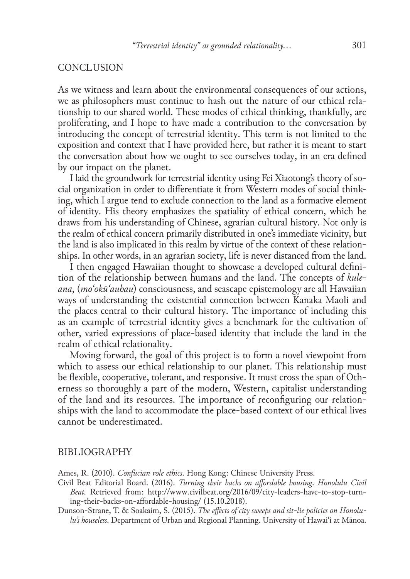## **CONCLUSION**

As we witness and learn about the environmental consequences of our actions, we as philosophers must continue to hash out the nature of our ethical relationship to our shared world. These modes of ethical thinking, thankfully, are proliferating, and I hope to have made a contribution to the conversation by introducing the concept of terrestrial identity. This term is not limited to the exposition and context that I have provided here, but rather it is meant to start the conversation about how we ought to see ourselves today, in an era defined by our impact on the planet.

I laid the groundwork for terrestrial identity using Fei Xiaotong's theory of social organization in order to differentiate it from Western modes of social thinking, which I argue tend to exclude connection to the land as a formative element of identity. His theory emphasizes the spatiality of ethical concern, which he draws from his understanding of Chinese, agrarian cultural history. Not only is the realm of ethical concern primarily distributed in one's immediate vicinity, but the land is also implicated in this realm by virtue of the context of these relationships. In other words, in an agrarian society, life is never distanced from the land.

I then engaged Hawaiian thought to showcase a developed cultural definition of the relationship between humans and the land. The concepts of *kuleana*, (*moʻokūʻauhau*) consciousness, and seascape epistemology are all Hawaiian ways of understanding the existential connection between Kanaka Maoli and the places central to their cultural history. The importance of including this as an example of terrestrial identity gives a benchmark for the cultivation of other, varied expressions of place-based identity that include the land in the realm of ethical relationality.

Moving forward, the goal of this project is to form a novel viewpoint from which to assess our ethical relationship to our planet. This relationship must be flexible, cooperative, tolerant, and responsive. It must cross the span of Otherness so thoroughly a part of the modern, Western, capitalist understanding of the land and its resources. The importance of reconfiguring our relationships with the land to accommodate the place-based context of our ethical lives cannot be underestimated.

### BIBLIOGRAPHY

Ames, R. (2010). *Confucian role ethics*. Hong Kong: Chinese University Press.

Civil Beat Editorial Board. (2016). *Turning their backs on affordable housing*. *Honolulu Civil Beat.* Retrieved from: http://www.civilbeat.org/2016/09/city-leaders-have-to-stop-turning-their-backs-on-affordable-housing/ (15.10.2018).

Dunson-Strane, T. & Soakaim, S. (2015). *The effects of city sweeps and sit-lie policies on Honolulu's houseless*. Department of Urban and Regional Planning. University of Hawaiʻi at Mānoa.